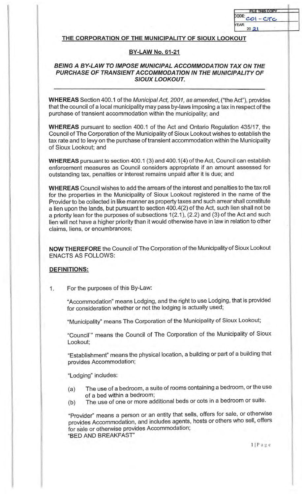| <b>FILE THIS COPY</b> |  |
|-----------------------|--|
| <b>CODE:</b><br>CTC   |  |
| <b>YEAR:</b><br>20    |  |

## **THE CORPORATION OF THE MUNICIPALITY OF SIOUX LOOKOUT**

## **BY-LAW No. 61-21**

## **BEING A BY-LAW TO IMPOSE MUNICIPAL ACCOMMODATION TAX ON THE PURCHASE OF TRANSIENT ACCOMMODATION IN THE MUNICIPALITY OF SIOUX LOOKOUT.**

**WHEREAS** Section 400.1 of the Municipal Act, 2001, as amended, ("the Act"), provides that the council of a local municipality may pass by-laws imposing a tax in respect of the purchase of transient accommodation within the municipality; and

**WHEREAS** pursuant to section 400.1 of the Act and Ontario Regulation 435/17, the Council of The Corporation of the Municipality of Sioux Lookout wishes to establish the tax rate and to levy on the purchase of transient accommodation within the Municipality of Sioux Lookout; and

**WHEREAS** pursuant to section 400.1 (3) and 400.1(4) of the Act, Council can establish enforcement measures as Council considers appropriate if an amount assessed for outstanding tax, penalties or interest remains unpaid after it is due; and

**WHEREAS** Council wishes to add the arrears of the interest and penalties to the tax roll for the properties in the Municipality of Sioux Lookout registered in the name of the Provider to be collected in like manner as property taxes and such arrear shall constitute a lien upon the lands, but pursuant to section 400.4(2) of the Act, such lien shall not be a priority lean for the purposes of subsections  $1(2.1)$ ,  $(2.2)$  and  $(3)$  of the Act and such lien will not have a higher priority than it would otherwise have in law in relation to other claims, liens, or encumbrances;

**NOW THEREFORE** the Council of The Corporation of the Municipality of Sioux Lookout ENACTS AS FOLLOWS:

## **DEFINITIONS:**

1. For the purposes of this By-Law:

"Accommodation" means Lodging, and the right to use Lodging, that is provided for consideration whether or not the lodging is actually used;

"Municipality" means The Corporation of the Municipality of Sioux Lookout;

"Council'" means the Council of The Corporation of the Municipality of Sioux Lookout;

"Establishment" means the physical location, a building or part of a building that provides Accommodation;

"Lodging" includes:

- (a) The use of a bedroom, a suite of rooms containing a bedroom, or the use of a bed within a bedroom;
- (b) The use of one or more additional beds or cots in a bedroom or suite.

"Provider" means a person or an entity that sells, offers for sale, or otherwise provides Accommodation, and includes agents, hosts or others who sell, offers for sale or otherwise provides Accommodation; "BED AND BREAKFAST"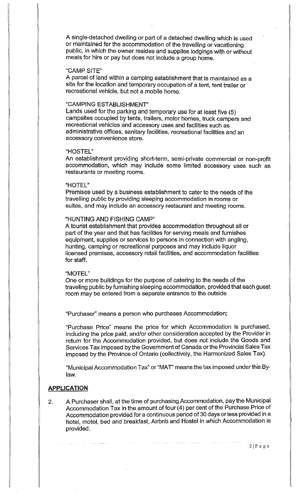A single-detached dwelling or part of a detached dwelling which is used or maintained for the accommodation of the travelling or vacationing public, in which the owner resides and supplies lodgings with or without meals for hire or pay but does not include a group home.

### "CAMPSITE"

A parcel of land within a camping establishment that is maintained as a site for the location and temporary occupation of a tent, tent trailer or recreational vehicle, but not a mobile home.

## "CAMPING ESTABLISHMENT"

Lands used for the parking and temporary use for at least five (5) campsites occupied by tents, trailers, motor homes, truck campers and recreational vehicles and accessory uses and facilities such as administrative offices, sanitary facilities, recreational facilities and an accessory convenience store.

#### "HOSTEL"

An establishment providing short-term, semi-private commercial or non-profit accommodation, which may include some limited accessory uses such as restaurants or meeting rooms.

#### "HOTEL"

Premises used by a business establishment to cater to the needs of the travelling public by providing sleeping accommodation in rooms or suites, and may include an accessory restaurant and meeting rooms.

#### "HUNTING AND FISHING CAMP"

A tourist establishment that provides accommodation throughout all or part of the year and that has facilities for serving meals and furnishes equipment, supplies or services to persons in connection with angling, hunting, camping or recreational purposes and may include liquor licensed premises, accessory retail facilities, and accommodation facilities for staff.

#### "MOTEL"

One or more buildings for the purpose of catering to the needs of the traveling public by furnishing sleeping accommodation, provided that each guest room may be entered from a separate entrance to the outside

"Purchaser'' means a person who purchases Accommodation;

"Purchase Price" means the price for which Accommodation is purchased, including the price paid, and/or other consideration accepted by the Provider in return for the Accommodation provided, but does not include the Goods and Services Tax imposed by the Government of Canada or the Provincial Sales Tax imposed by the Province of Ontario (collectively, the Harmonized Sales Tax).

"Municipal Accommodation Tax" or "MAT' means the tax imposed under this Bylaw.

### **APPLICATION**

2. A Purchaser shall, at the time of purchasing Accommodation, pay the Municipal Accommodation Tax in the amount of four (4) per cent of the Purchase Price of Accommodation provided for a continuous period of 30 days or less provided in a hotel, motel, bed and breakfast, Airbnb and Hostel in which Accommodation is provided.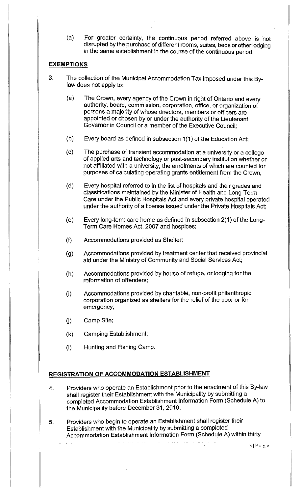(a) For greater certainty, the continuous period referred above is not disrupted by the purchase of different rooms, suites, beds or other lodging in the same establishment in the course of the continuous period.

## **EXEMPTIONS**

- 3. The collection of the Municipal Accommodation Tax imposed under this Bylaw does not apply to:
	- (a) The Crown, every agency of the Crown in right of Ontario and every authority, board, commission, corporation, office, or organization of persons a majority of whose directors, members or officers are appointed or chosen by or under the authority of the Lieutenant Governor in Council or a member of the Executive Council;
	- (b) Every board as defined in subsection 1(1) of the Education Act;
	- (c) The purchase of transient accommodation at a university or a college of applied arts and technology or post-secondary institution whether or not affiliated with a university, the enrolments of which are counted for purposes of calculating operating grants entitlement from the Crown,
	- (d) Every hospital referred to in the list of hospitals and their grades and classifications maintained by the Minister of Health and Long-Term Care under the Public Hospitals Act and every private hospital operated under the authority of a license issued under the Private Hospitals Act;
	- (e) Every long-term care home as defined in subsection  $2(1)$  of the Long-Terrn Care Homes Act, 2007 and hospices;
	- (f) Accommodations provided as Shelter;
	- (g) Accommodations provided by treatment center that received provincial aid under the Ministry of Community and Social Services Act;
	- (h) Accommodations provided by house of refuge, or lodging for the reformation of offenders;
	- (i) Accommodations provided by charitable, non-profit philanthropic corporation organized as shelters for the relief of the poor or for emergency;
	- (i) Camp Site;
	- (k) Camping Establishment;
	- (I) Hunting and Fishing Camp.

## **REGISTRATION OF ACCOMMODATION ESTABLISHMENT**

- 4. Providers who operate an Establishment prior to the enactment of this By-law shall register their Establishment with the Municipality by submitting a completed Accommodation Establishment Information Form (Schedule A) to the Municipality before December 31, 2019.
- 5. Providers who begin to operate an Establishment shall register their Establishment with the Municipality by submitting a completed Accommodation Establishment Information Form (Schedule A) within thirty

31Page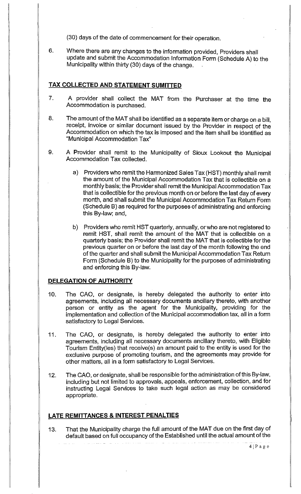(30) days of the date of commencement for their operation.

6. Where there are any changes to the information provided, Providers shall update and submit the Accommodation Information Form (Schedule A) to the Municipality within thirty (30) days of the change. .

# **TAX COLLECTED AND STATEMENT SUMITIED**

- 7. A provider shall collect the MAT from the Purchaser at the time the Accommodation is purchased.
- 8. The amount of the MAT shall be identified as a separate item or charge on a bill, receipt, invoice or similar document issued by the Provider in respect of the Accommodation on which the tax is imposed and the item shall be identified as "Municipal Accommodation Tax"
- 9. A Provider shall remit to the Municipality of Sioux Lookout the Municipal Accommodation Tax collected.
	- a) Providers who remit the Harmonized Sales Tax (HST) monthly shall remit the amount of the Municipal Accommodation Tax that is collectible on a monthly basis; the Provider shall remit the Municipal Accommodation Tax that is collectible for the previous month on or before the last day of every month, and shall submit the Municipal Accommodation Tax Return Form (Schedule B) as required forthe purposes of administrating and enforcing this By-law; and,
	- b) Providers who remit HST quarterly, annually, or who are not registered to remit HST, shall remit the amount of the MAT that is collectible on a quarterly basis; the Provider shall remit the MAT that is collectible for the previous quarter on or before the last day of the month following the end of the quarter and shall submit the Municipal Accommodation Tax Return Form (Schedule B) to the Municipality for the purposes of administrating and enforcing this By-law.

# **DELEGATION OF AUTHORITY**

- 10. The CAO, or designate, is hereby delegated the authority to enter into agreements, including all necessary documents ancillary thereto, with another person or entity as the agent for the Municipality, providing for the implementation and collection of the Municipal accommodation tax, all in a form satisfactory to Legal Services.
- 11. The CAO, or designate, is hereby delegated the authority to enter into agreements, including all necessary documents ancillary thereto, with Eligible Tourism Entity(ies) that receive(s) an amount paid to the entity is used for the exclusive purpose of promoting tourism, and the agreements may provide for other matters, all in a form satisfactory to Legal Services.
- 12. The CAO, or designate, shall be responsible for the administration of this By-law, including but not limited to approvals, appeals, enforcement, collection, and for instructing Legal Services to take such legal action as may be considered appropriate.

# **LATE REMITTANCES & INTEREST PENALTIES**

13. That the Municipality charge the full amount of the MAT due on the first day of default based on full occupancy of the Established until the actual amount of the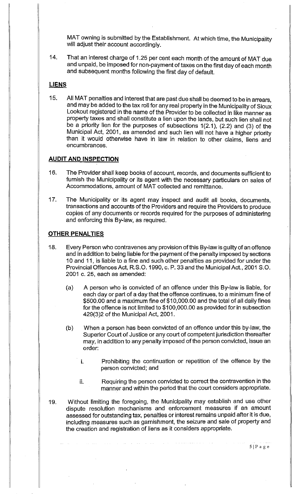MAT owning is submitted by the Establishment. At which time, the Municipality will adjust their account accordingly.

14. That an interest charge of 1.25 per cent each month of the amount of MAT due and unpaid, be imposed for non-payment of taxes on the first day of each month and subsequent months following the first day of default.

## **LIENS**

15. All MAT penalties and interest that are past due shall be deemed to be in arrears, and may be added to the tax roll for any real property in the Municipality of Sioux Lookout registered in the name of the Provider to be collected in like manner as property taxes and shall constitute a lien upon the lands, but such lien shall not be a priority lien for the purposes of subsections 1 (2.1 ), (2.2) and (3) of the Municipal Act, 2001, as amended and such lien will not have a higher priority than it would otherwise have in law in relation to other claims, liens and encumbrances.

## **AUDIT AND INSPECTION**

- 16. The Provider shall keep books of account, records, and documents sufficient to furnish the Municipality or its agent with the necessary particulars on sales of Accommodations, amount of MAT collected and remittance.
- 17. The Municipality or its agent may inspect and audit all books, documents, transactions and accounts of the Providers and require the Providers to produce copies of any documents or records required for the purposes of administering and enforcing this By-law, as required.

## **OTHER PENALTIES**

- 18. Every Person who contravenes any provision of this By-law is guilty of an offence and in addition to being liable for the payment of the penalty imposed by sections 10 and 11, is liable to a fine and such other penalties as provided for under the Provincial Offences Act, R.S.O. 1990, c. P. 33 and the Municipal Act., 2001 S.O. 2001 c. 25, each as amended:
	- (a) A person who is convicted of an offence under this By-law is liable, for each day or part of a day that the offence continues, to a minimum fine of \$500.00 and a maximum fine of \$10,000.00 and the total of all daily fines for the offence is not limited to \$100,000.00 as provided for in subsection 429(3)2 of the Municipal Act, 2001.
	- (b) When a person has been convicted of an offence under this by-law, the Superior Court of Justice or any court of competent jurisdiction thereafter may, in addition to any penalty imposed of the person convicted, issue an order:
		- i. Prohibiting the continuation or repetition of the offence by the person convicted; and
		- ii. Requiring the person convicted to correct the contravention in the manner and within the period that the court considers appropriate.
- 19. Without limiting the foregoing, the Municipality may establish and use other dispute resolution mechanisms and enforcement measures if an amount assessed for outstanding tax, penalties or interest remains unpaid after it is due, including measures such as garnishment, the seizure and sale of property and the creation and registration of liens as it considers appropriate.